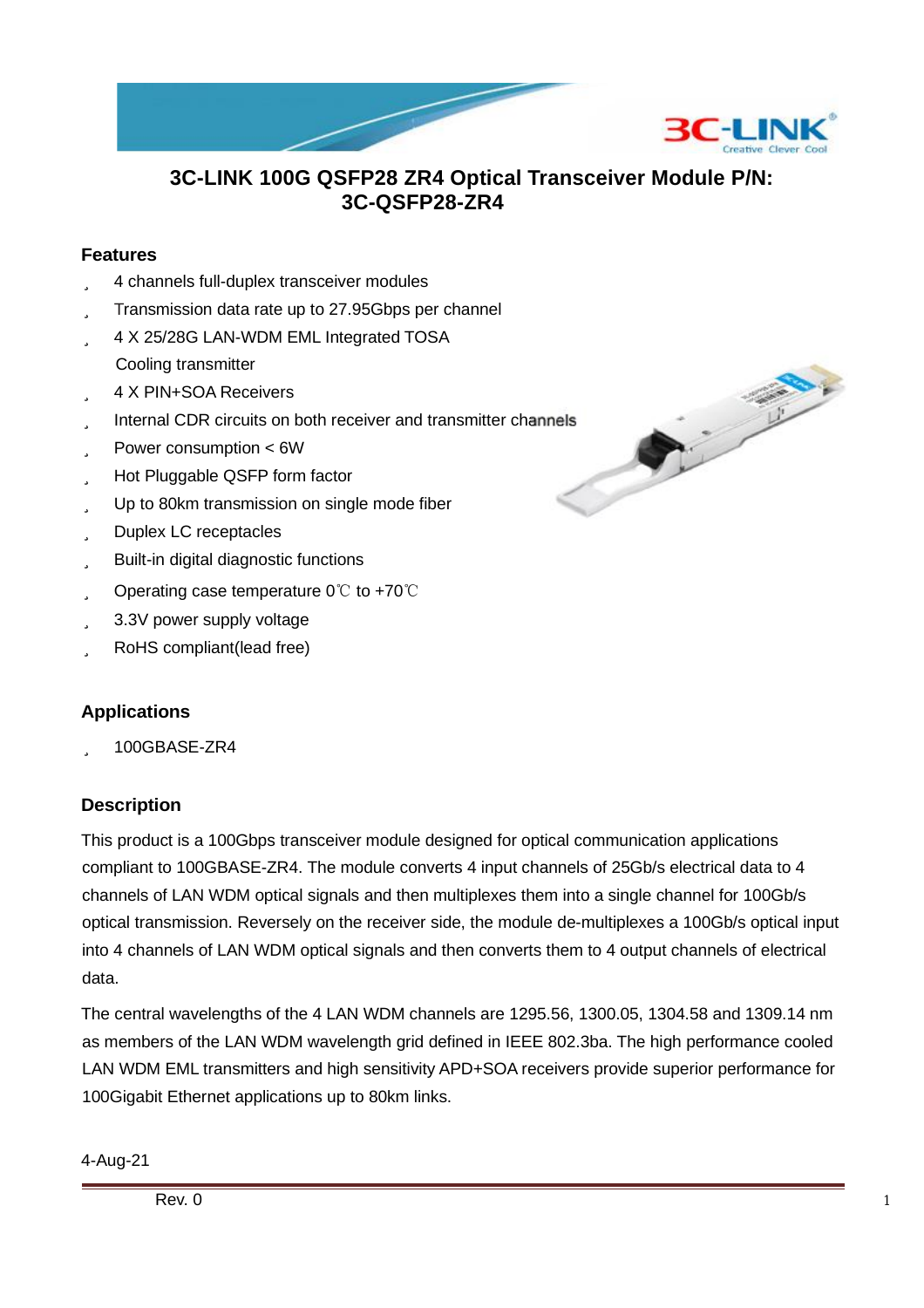

### **3C-LINK 100G QSFP28 ZR4 Optical Transceiver Module P/N: 3C-QSFP28-ZR4**

#### **Features**

- ü 4 channels full-duplex transceiver modules
- ü Transmission data rate up to 27.95Gbps per channel
- ü 4 X 25/28G LAN-WDM EML Integrated TOSA Cooling transmitter
- ü 4 X PIN+SOA Receivers
- ü Internal CDR circuits on both receiver and transmitter channels
- ü Power consumption < 6W
- ü Hot Pluggable QSFP form factor
- ü Up to 80km transmission on single mode fiber
- ü Duplex LC receptacles
- ü Built-in digital diagnostic functions
- ü Operating case temperature 0℃ to +70℃
- ü 3.3V power supply voltage
- ü RoHS compliant(lead free)

#### **Applications**

ü 100GBASE-ZR4

#### **Description**

This product is a 100Gbps transceiver module designed for optical communication applications compliant to 100GBASE-ZR4. The module converts 4 input channels of 25Gb/s electrical data to 4 channels of LAN WDM optical signals and then multiplexes them into a single channel for 100Gb/s optical transmission. Reversely on the receiver side, the module de-multiplexes a 100Gb/s optical input into 4 channels of LAN WDM optical signals and then converts them to 4 output channels of electrical data.

The central wavelengths of the 4 LAN WDM channels are 1295.56, 1300.05, 1304.58 and 1309.14 nm as members of the LAN WDM wavelength grid defined in IEEE 802.3ba. The high performance cooled LAN WDM EML transmitters and high sensitivity APD+SOA receivers provide superior performance for 100Gigabit Ethernet applications up to 80km links.

4-Aug-21

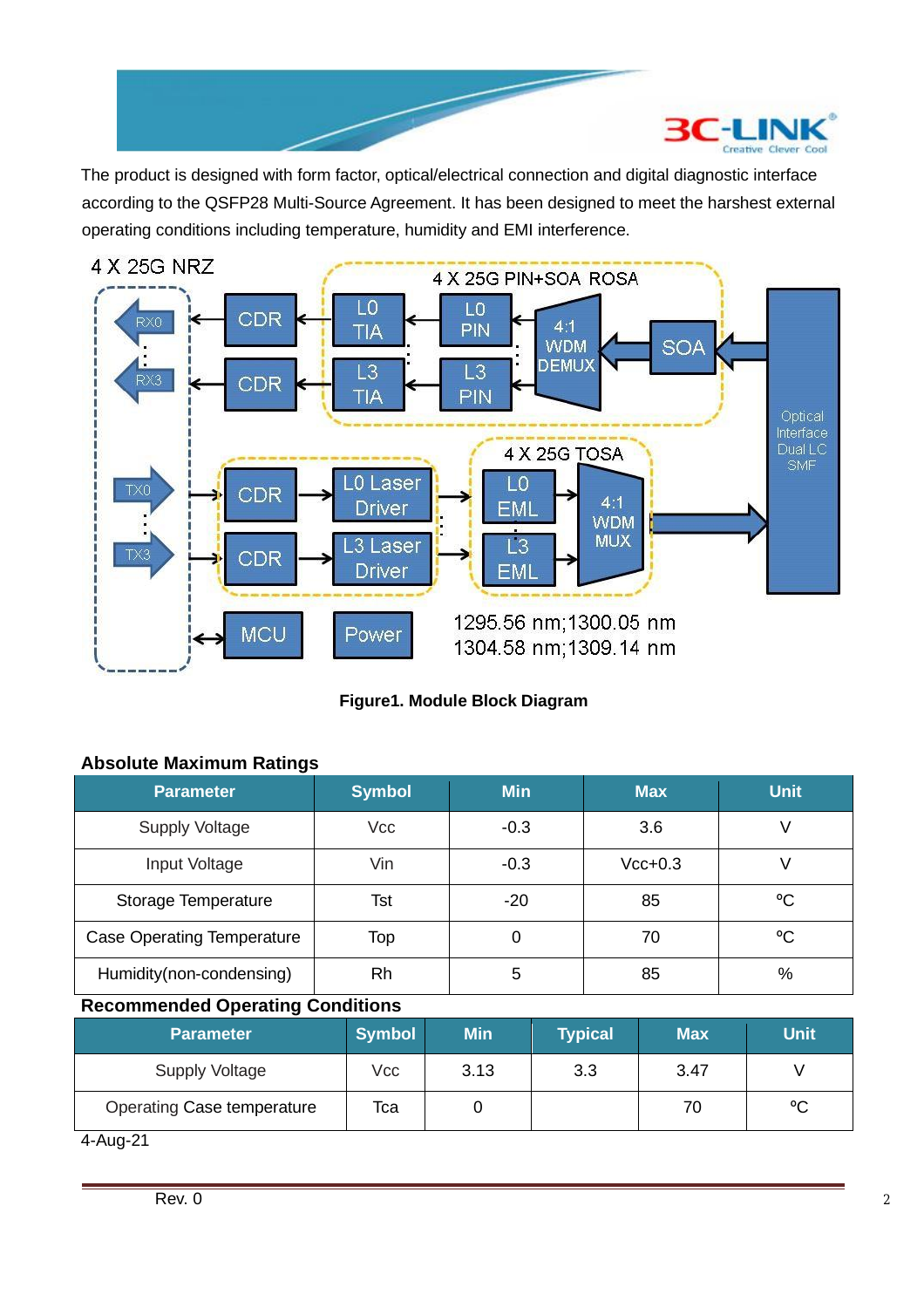

The product is designed with form factor, optical/electrical connection and digital diagnostic interface according to the QSFP28 Multi-Source Agreement. It has been designed to meet the harshest external operating conditions including temperature, humidity and EMI interference.



**Figure1. Module Block Diagram**

|  | <b>Absolute Maximum Ratings</b> |  |
|--|---------------------------------|--|
|--|---------------------------------|--|

| <b>Parameter</b>                  | <b>Symbol</b> | <b>Min</b> | <b>Max</b> | <b>Unit</b> |
|-----------------------------------|---------------|------------|------------|-------------|
| <b>Supply Voltage</b>             | Vcc           | $-0.3$     | 3.6        |             |
| Input Voltage                     | Vin           | $-0.3$     | $Vcc+0.3$  | V           |
| Storage Temperature               | Tst           | $-20$      | 85         | °C          |
| <b>Case Operating Temperature</b> | Top           | 0          | 70         | °C          |
| Humidity(non-condensing)          | Rh            | 5          | 85         | %           |

### **Recommended Operating Conditions**

| <b>Parameter</b>           | <b>Symbol</b> | <b>Min</b> | <b>Typical</b> | <b>Max</b> | <b>Unit</b> |
|----------------------------|---------------|------------|----------------|------------|-------------|
| <b>Supply Voltage</b>      | <b>Vcc</b>    | 3.13       | 3.3            | 3.47       |             |
| Operating Case temperature | Тса           |            |                | 70         | °C          |

4-Aug-21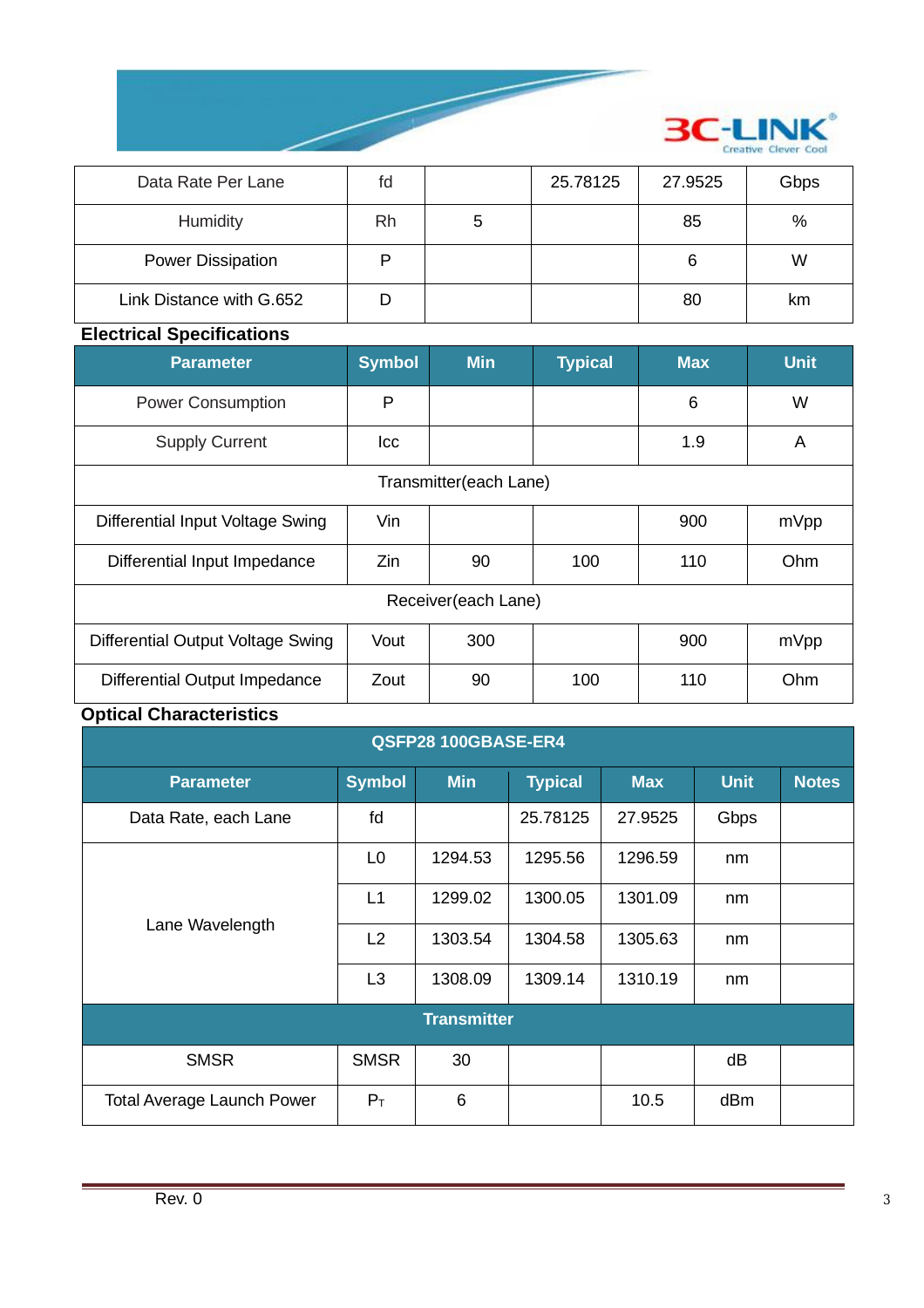

| Data Rate Per Lane       | fd |   | 25.78125 | 27.9525 | Gbps |
|--------------------------|----|---|----------|---------|------|
| Humidity                 | Rh | 5 |          | 85      | %    |
| <b>Power Dissipation</b> |    |   |          | 6       | W    |
| Link Distance with G.652 |    |   |          | 80      | km   |

### **Electrical Specifications**

| <b>Parameter</b>                  | <b>Symbol</b> | <b>Min</b>             | <b>Typical</b> | <b>Max</b> | <b>Unit</b> |  |
|-----------------------------------|---------------|------------------------|----------------|------------|-------------|--|
| <b>Power Consumption</b>          | P             |                        |                | 6          | W           |  |
| <b>Supply Current</b>             | Icc           |                        |                | 1.9        | A           |  |
|                                   |               | Transmitter(each Lane) |                |            |             |  |
| Differential Input Voltage Swing  | Vin           |                        |                | 900        | mVpp        |  |
| Differential Input Impedance      | Zin           | 90                     | 100            | 110        | Ohm         |  |
| Receiver(each Lane)               |               |                        |                |            |             |  |
| Differential Output Voltage Swing | Vout          | 300                    |                | 900        | mVpp        |  |
| Differential Output Impedance     | Zout          | 90                     | 100            | 110        | Ohm         |  |

# **Optical Characteristics**

| QSFP28 100GBASE-ER4               |                |            |                |            |             |              |
|-----------------------------------|----------------|------------|----------------|------------|-------------|--------------|
| <b>Parameter</b>                  | <b>Symbol</b>  | <b>Min</b> | <b>Typical</b> | <b>Max</b> | <b>Unit</b> | <b>Notes</b> |
| Data Rate, each Lane              | fd             |            | 25.78125       | 27.9525    | Gbps        |              |
|                                   | L <sub>0</sub> | 1294.53    | 1295.56        | 1296.59    | nm          |              |
| Lane Wavelength                   | L1             | 1299.02    | 1300.05        | 1301.09    | nm          |              |
|                                   | L2             | 1303.54    | 1304.58        | 1305.63    | nm          |              |
|                                   | L <sub>3</sub> | 1308.09    | 1309.14        | 1310.19    | nm          |              |
| <b>Transmitter</b>                |                |            |                |            |             |              |
| <b>SMSR</b>                       | <b>SMSR</b>    | 30         |                |            | dB          |              |
| <b>Total Average Launch Power</b> | $P_T$          | 6          |                | 10.5       | dBm         |              |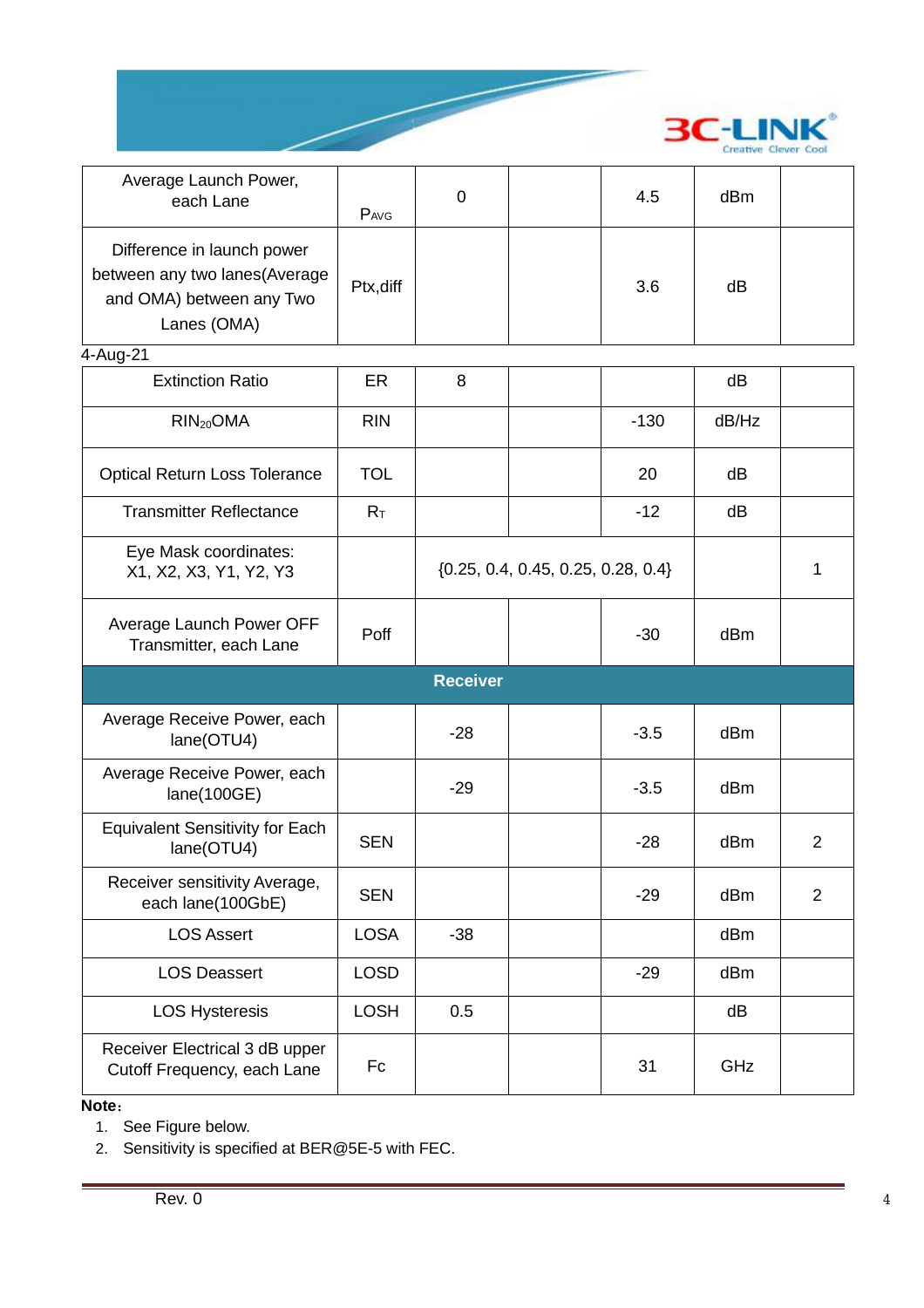

| Average Launch Power,<br>each Lane                                                                      | PAVG        | $\mathbf 0$                            |  | 4.5    | dBm             |                |
|---------------------------------------------------------------------------------------------------------|-------------|----------------------------------------|--|--------|-----------------|----------------|
| Difference in launch power<br>between any two lanes (Average<br>and OMA) between any Two<br>Lanes (OMA) | Ptx, diff   |                                        |  | 3.6    | dB              |                |
| 4-Aug-21                                                                                                |             |                                        |  |        |                 |                |
| <b>Extinction Ratio</b>                                                                                 | ER          | 8                                      |  |        | dB              |                |
| RIN <sub>20</sub> OMA                                                                                   | <b>RIN</b>  |                                        |  | $-130$ | dB/Hz           |                |
| <b>Optical Return Loss Tolerance</b>                                                                    | <b>TOL</b>  |                                        |  | 20     | dB              |                |
| <b>Transmitter Reflectance</b>                                                                          | $R_T$       |                                        |  | $-12$  | dB              |                |
| Eye Mask coordinates:<br>X1, X2, X3, Y1, Y2, Y3                                                         |             | $\{0.25, 0.4, 0.45, 0.25, 0.28, 0.4\}$ |  |        |                 | 1              |
| Average Launch Power OFF<br>Transmitter, each Lane                                                      | Poff        |                                        |  | $-30$  | d <sub>Bm</sub> |                |
|                                                                                                         |             | <b>Receiver</b>                        |  |        |                 |                |
| Average Receive Power, each<br>lane(OTU4)                                                               |             | $-28$                                  |  | $-3.5$ | dBm             |                |
| Average Receive Power, each<br>lane(100GE)                                                              |             | $-29$                                  |  | $-3.5$ | dBm             |                |
| <b>Equivalent Sensitivity for Each</b><br>lane(OTU4)                                                    | <b>SEN</b>  |                                        |  | $-28$  | dBm             | $\overline{2}$ |
| Receiver sensitivity Average,<br>each lane(100GbE)                                                      | <b>SEN</b>  |                                        |  | $-29$  | dBm             | $\overline{2}$ |
| <b>LOS Assert</b>                                                                                       | <b>LOSA</b> | $-38$                                  |  |        | dBm             |                |
| <b>LOS Deassert</b>                                                                                     | <b>LOSD</b> |                                        |  | $-29$  | dBm             |                |
| <b>LOS Hysteresis</b>                                                                                   | <b>LOSH</b> | 0.5                                    |  |        | dB              |                |
|                                                                                                         |             |                                        |  |        |                 |                |

**Note**:

1. See Figure below.

2. Sensitivity is specified at BER@5E-5 with FEC.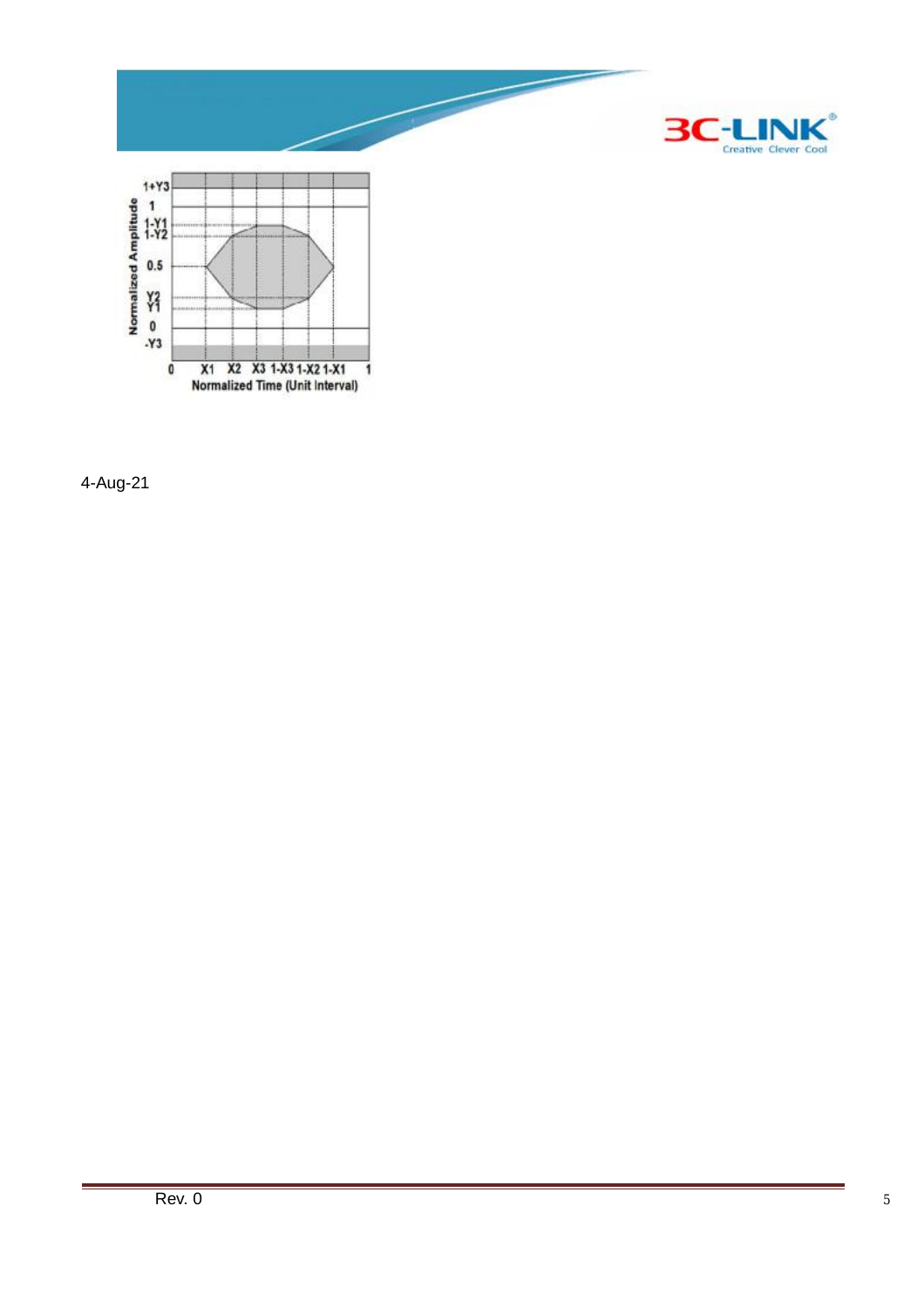

4-Aug-21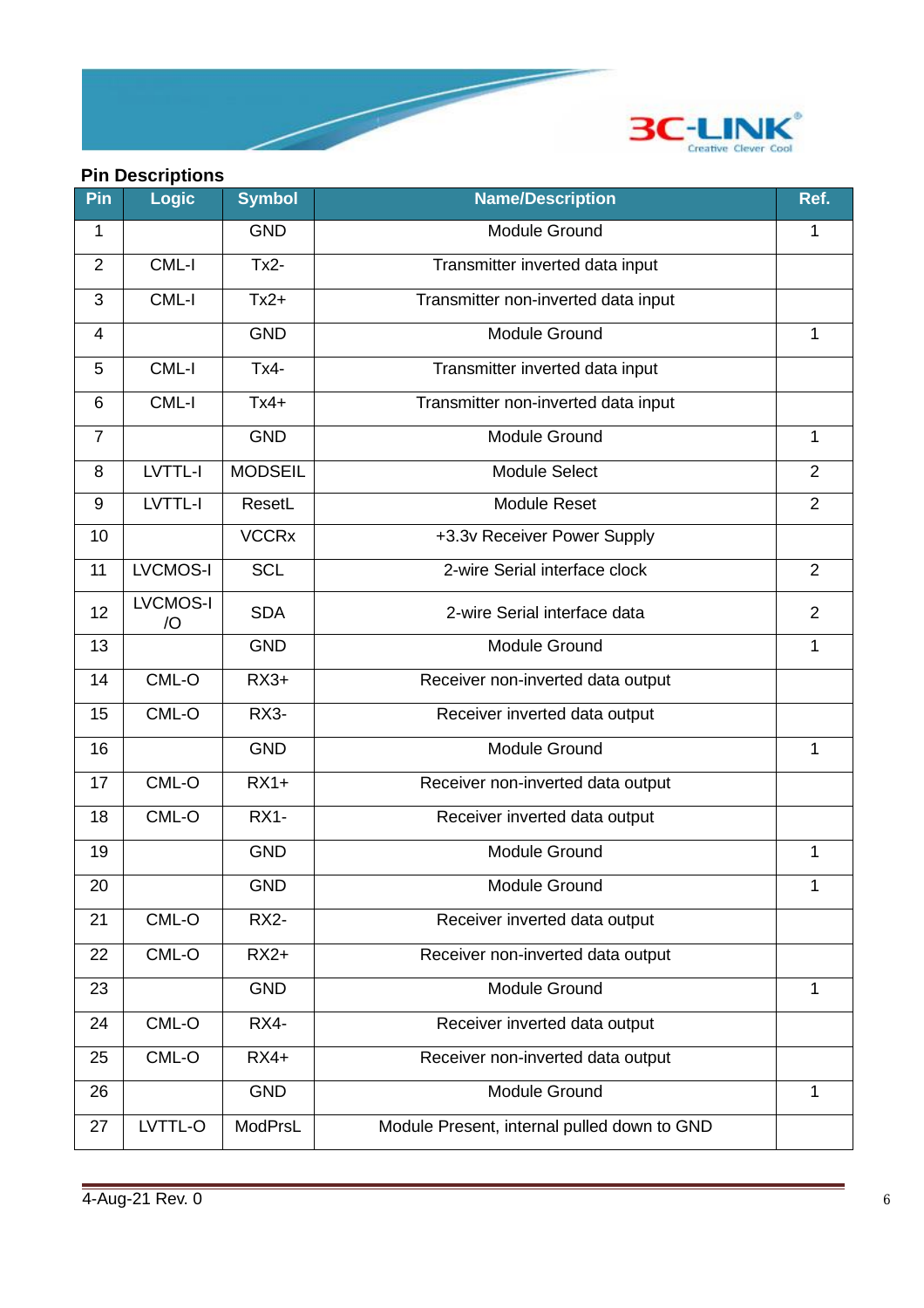

### **Pin Descriptions**

| Pin            | <b>Logic</b>                      | <b>Symbol</b>  | <b>Name/Description</b>                     | Ref.           |
|----------------|-----------------------------------|----------------|---------------------------------------------|----------------|
| 1              |                                   | <b>GND</b>     | <b>Module Ground</b>                        | 1              |
| $\overline{2}$ | CML-I                             | $Tx2-$         | Transmitter inverted data input             |                |
| 3              | CML-I                             | $Tx2+$         | Transmitter non-inverted data input         |                |
| 4              |                                   | <b>GND</b>     | <b>Module Ground</b>                        | 1              |
| 5              | CML-I                             | $Tx4-$         | Transmitter inverted data input             |                |
| 6              | CML-I                             | $Tx4+$         | Transmitter non-inverted data input         |                |
| $\overline{7}$ |                                   | <b>GND</b>     | Module Ground                               | 1              |
| 8              | LVTTL-I                           | <b>MODSEIL</b> | Module Select                               | 2              |
| 9              | LVTTL-I                           | ResetL         | <b>Module Reset</b>                         | $\overline{2}$ |
| 10             |                                   | <b>VCCRx</b>   | +3.3v Receiver Power Supply                 |                |
| 11             | <b>LVCMOS-I</b>                   | <b>SCL</b>     | 2-wire Serial interface clock               | 2              |
| 12             | <b>LVCMOS-I</b><br>$\overline{O}$ | <b>SDA</b>     | 2-wire Serial interface data                | 2              |
| 13             |                                   | <b>GND</b>     | <b>Module Ground</b>                        | 1              |
| 14             | CML-O                             | $RX3+$         | Receiver non-inverted data output           |                |
| 15             | CML-O                             | RX3-           | Receiver inverted data output               |                |
| 16             |                                   | <b>GND</b>     | <b>Module Ground</b>                        | 1              |
| 17             | CML-O                             | $RX1+$         | Receiver non-inverted data output           |                |
| 18             | CML-O                             | RX1-           | Receiver inverted data output               |                |
| 19             |                                   | <b>GND</b>     | <b>Module Ground</b>                        | 1              |
| 20             |                                   | <b>GND</b>     | Module Ground                               |                |
| 21             | CML-O                             | <b>RX2-</b>    | Receiver inverted data output               |                |
| 22             | CML-O                             | $RX2+$         | Receiver non-inverted data output           |                |
| 23             |                                   | <b>GND</b>     | <b>Module Ground</b>                        | 1              |
| 24             | CML-O                             | RX4-           | Receiver inverted data output               |                |
| 25             | CML-O                             | $RX4+$         | Receiver non-inverted data output           |                |
| 26             |                                   | <b>GND</b>     | <b>Module Ground</b>                        | 1              |
| 27             | LVTTL-O                           | ModPrsL        | Module Present, internal pulled down to GND |                |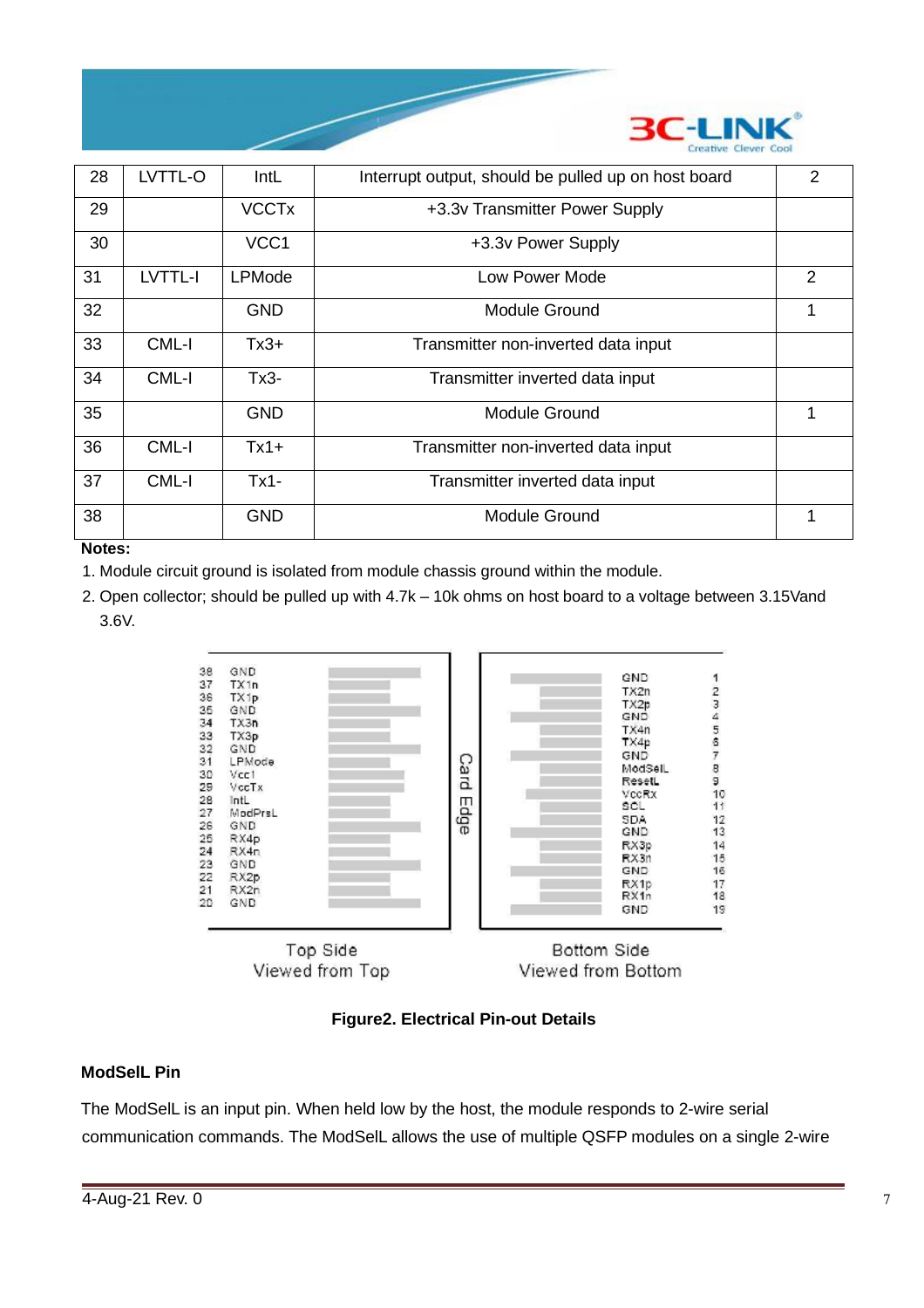

| 28 | LVTTL-O | IntL                    | Interrupt output, should be pulled up on host board | $\overline{2}$ |
|----|---------|-------------------------|-----------------------------------------------------|----------------|
| 29 |         | <b>VCCT<sub>x</sub></b> | +3.3v Transmitter Power Supply                      |                |
| 30 |         | VCC <sub>1</sub>        | +3.3v Power Supply                                  |                |
| 31 | LVTTL-I | <b>LPMode</b>           | Low Power Mode                                      | 2              |
| 32 |         | GND                     | Module Ground                                       | 1              |
| 33 | CML-I   | $Tx3+$                  | Transmitter non-inverted data input                 |                |
| 34 | CML-I   | Tx3-                    | Transmitter inverted data input                     |                |
| 35 |         | <b>GND</b>              | <b>Module Ground</b>                                | 1              |
| 36 | CML-I   | $Tx1+$                  | Transmitter non-inverted data input                 |                |
| 37 | CML-I   | $Tx1 -$                 | Transmitter inverted data input                     |                |
| 38 |         | <b>GND</b>              | <b>Module Ground</b>                                | 1              |

#### **Notes:**

- 1. Module circuit ground is isolated from module chassis ground within the module.
- 2. Open collector; should be pulled up with 4.7k 10k ohms on host board to a voltage between 3.15Vand 3.6V.



**Figure2. Electrical Pin-out Details**

#### **ModSelL Pin**

The ModSelL is an input pin. When held low by the host, the module responds to 2-wire serial communication commands. The ModSelL allows the use of multiple QSFP modules on a single 2-wire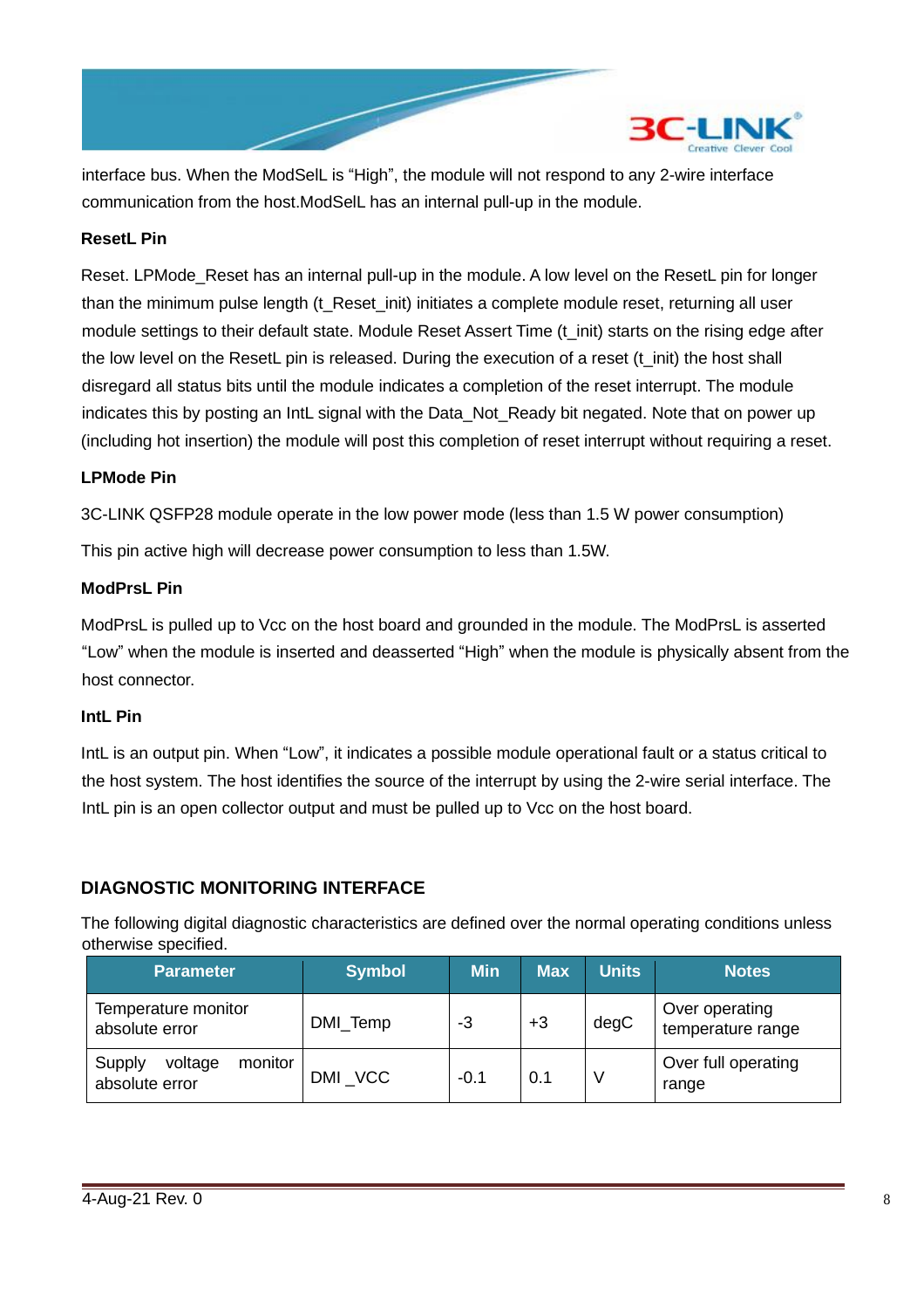

interface bus. When the ModSelL is "High", the module will not respond to any 2-wire interface communication from the host.ModSelL has an internal pull-up in the module.

#### **ResetL Pin**

Reset. LPMode\_Reset has an internal pull-up in the module. A low level on the ResetL pin for longer than the minimum pulse length (t\_Reset\_init) initiates a complete module reset, returning all user module settings to their default state. Module Reset Assert Time (t\_init) starts on the rising edge after the low level on the ResetL pin is released. During the execution of a reset (t\_init) the host shall disregard all status bits until the module indicates a completion of the reset interrupt. The module indicates this by posting an IntL signal with the Data\_Not\_Ready bit negated. Note that on power up (including hot insertion) the module will post this completion of reset interrupt without requiring a reset.

#### **LPMode Pin**

3C-LINK QSFP28 module operate in the low power mode (less than 1.5 W power consumption)

This pin active high will decrease power consumption to less than 1.5W.

#### **ModPrsL Pin**

ModPrsL is pulled up to Vcc on the host board and grounded in the module. The ModPrsL is asserted "Low" when the module is inserted and deasserted "High" when the module is physically absent from the host connector.

#### **IntL Pin**

IntL is an output pin. When "Low", it indicates a possible module operational fault or a status critical to the host system. The host identifies the source of the interrupt by using the 2-wire serial interface. The IntL pin is an open collector output and must be pulled up to Vcc on the host board.

#### **DIAGNOSTIC MONITORING INTERFACE**

The following digital diagnostic characteristics are defined over the normal operating conditions unless otherwise specified.

| <b>Parameter</b>                               | <b>Symbol</b> | <b>Min</b> | <b>Max</b> | <b>Units</b> | <b>Notes</b>                        |
|------------------------------------------------|---------------|------------|------------|--------------|-------------------------------------|
| Temperature monitor<br>absolute error          | DMI_Temp      | -3         | $+3$       | degC         | Over operating<br>temperature range |
| monitor<br>Supply<br>voltage<br>absolute error | DMI VCC       | $-0.1$     | 0.1        |              | Over full operating<br>range        |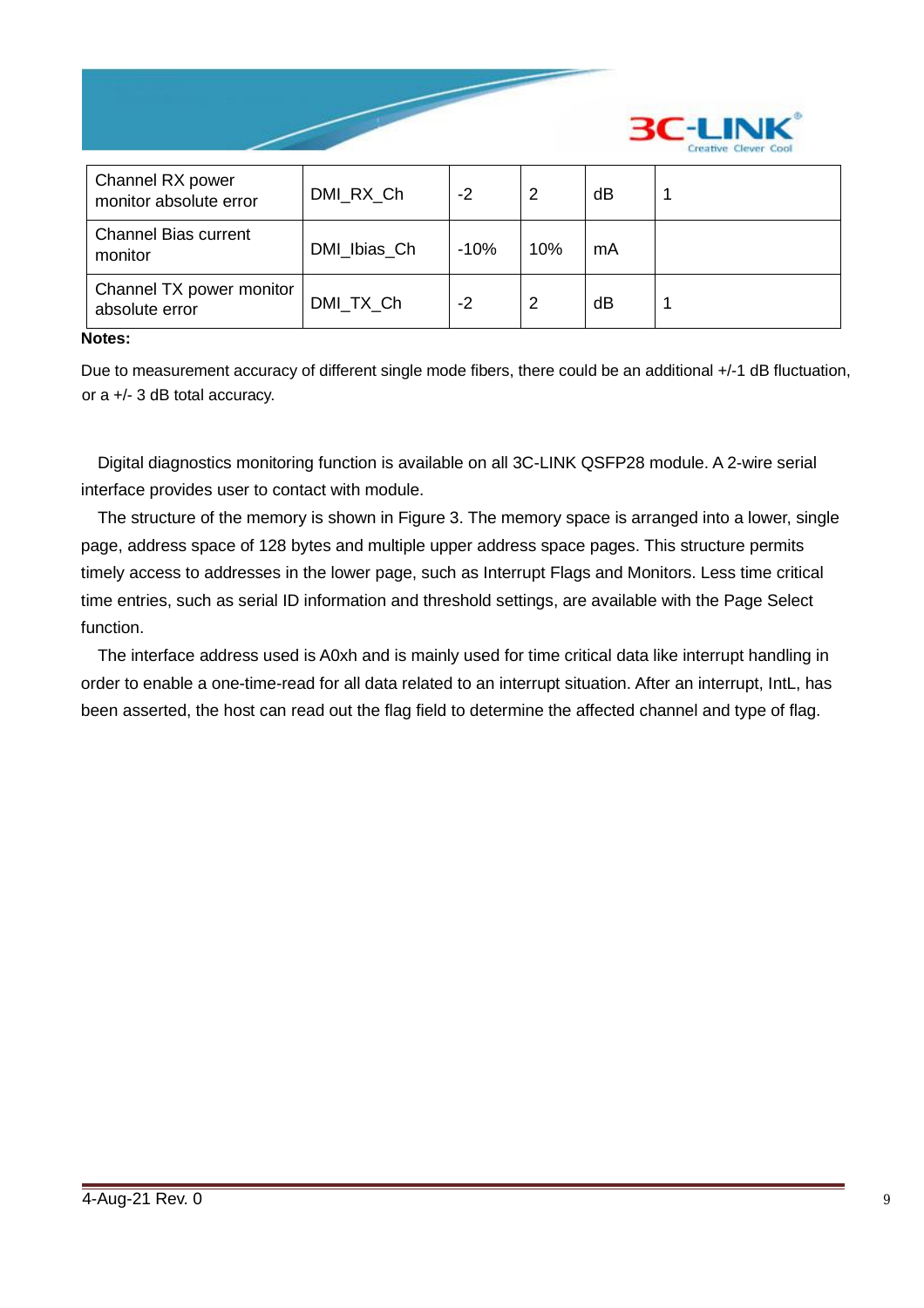

| Channel RX power<br>monitor absolute error | DMI_RX_Ch    | -2     | 2   | dB |  |
|--------------------------------------------|--------------|--------|-----|----|--|
| <b>Channel Bias current</b><br>monitor     | DMI_Ibias_Ch | $-10%$ | 10% | mA |  |
| Channel TX power monitor<br>absolute error | DMI TX Ch    | $-2$   | 2   | dB |  |

#### **Notes:**

Due to measurement accuracy of different single mode fibers, there could be an additional +/-1 dB fluctuation, or a +/- 3 dB total accuracy.

Digital diagnostics monitoring function is available on all 3C-LINK QSFP28 module. A 2-wire serial interface provides user to contact with module.

The structure of the memory is shown in Figure 3. The memory space is arranged into a lower, single page, address space of 128 bytes and multiple upper address space pages. This structure permits timely access to addresses in the lower page, such as Interrupt Flags and Monitors. Less time critical time entries, such as serial ID information and threshold settings, are available with the Page Select function.

The interface address used is A0xh and is mainly used for time critical data like interrupt handling in order to enable a one-time-read for all data related to an interrupt situation. After an interrupt, IntL, has been asserted, the host can read out the flag field to determine the affected channel and type of flag.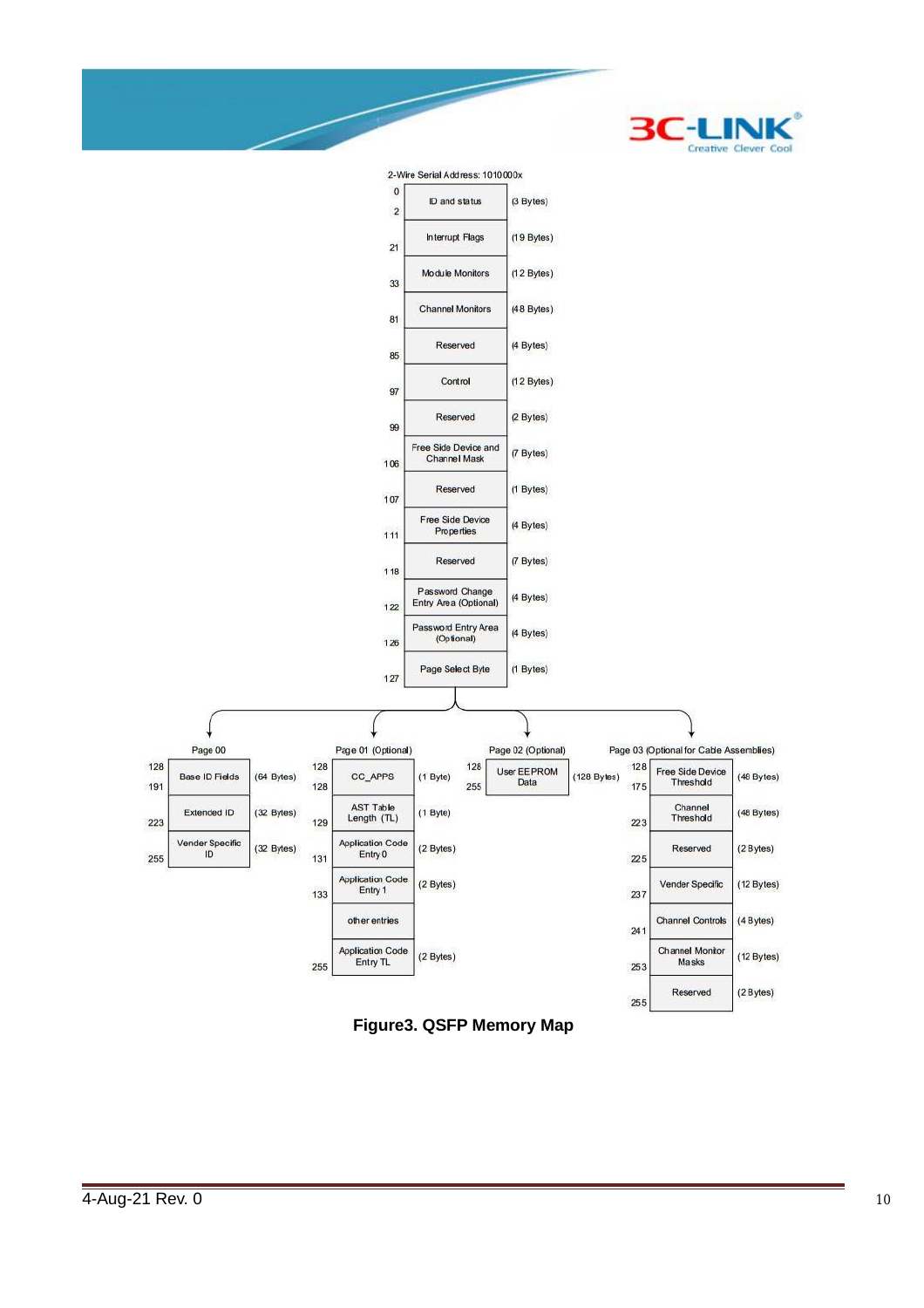



**Figure3. QSFP Memory Map**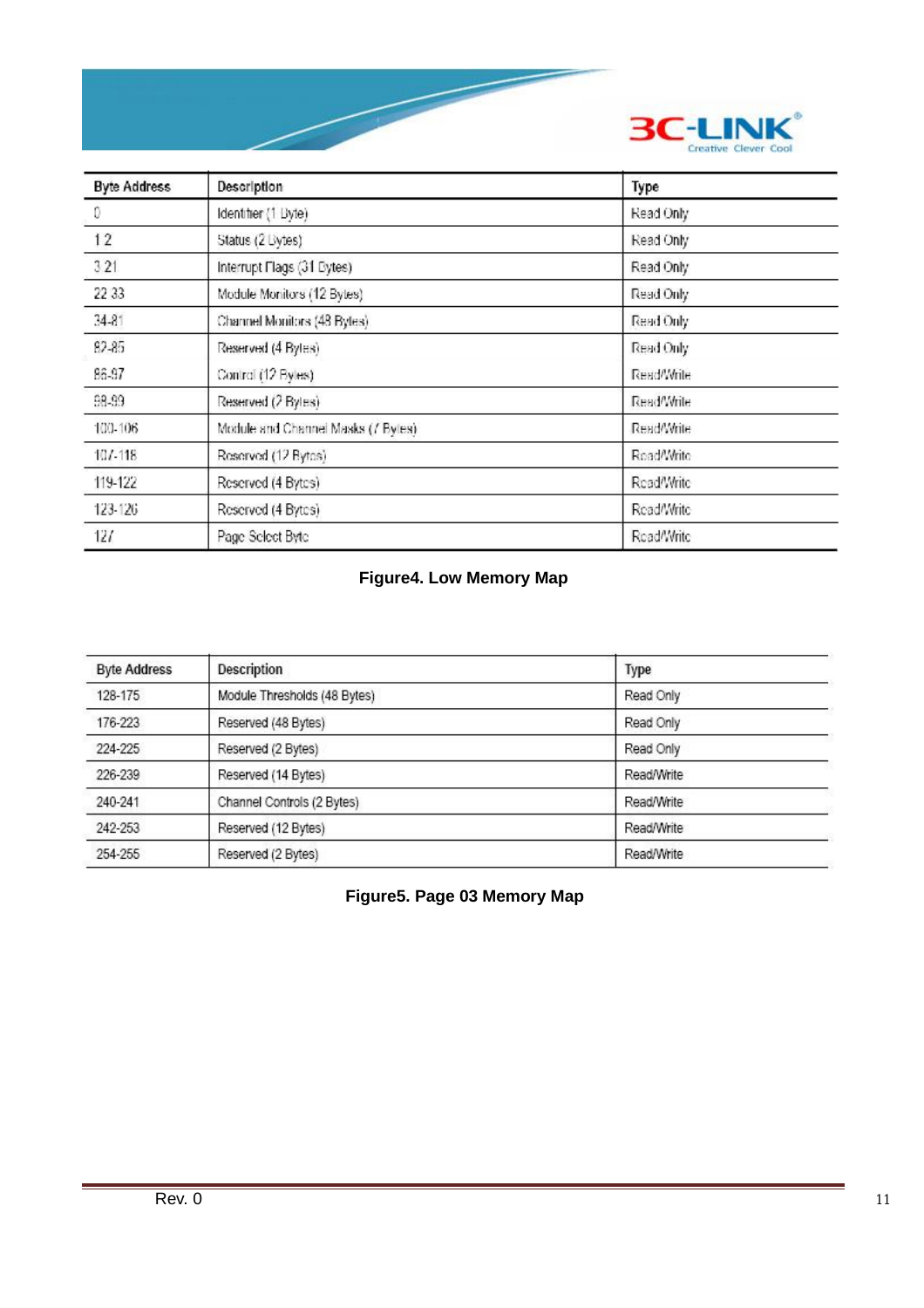

| <b>Byte Address</b> | Description                         | Type       |
|---------------------|-------------------------------------|------------|
| 0                   | Identifier (1 Dyte)                 | Read Only  |
| 12                  | Status (2 Bytes)                    | Read Only  |
| 321                 | Interrupt Flags (31 Eytes)          | Read Only  |
| 22 33               | Module Monitors (12 Bytes)          | Read Only  |
| $34 - 81$           | Channel Monitors (48 Bytes).        | Read Only  |
| 82-85               | Reserved (4 Bytes)                  | Read Only  |
| 86-97               | Control (12 Byles)                  | Read/Write |
| 98-99               | Reserved (2 Bytes)                  | Read/Write |
| 100-106             | Module and Channel Masks (/ Bytes). | Read/Write |
| $101 - 118$         | Reserved (12 Bytes)                 | Read/Write |
| 119-122             | Reserved (4 Bytes)                  | Read/Write |
| 123-126             | Reserved (4 Bytes)                  | Read/Write |
| 127                 | Page Select Byte                    | Read/Write |

# **Figure4. Low Memory Map**

| <b>Byte Address</b> | Description                  | Type       |
|---------------------|------------------------------|------------|
| 128-175             | Module Thresholds (48 Bytes) | Read Only  |
| 176-223             | Reserved (48 Bytes)          | Read Only  |
| 224-225             | Reserved (2 Bytes)           | Read Only  |
| 226-239             | Reserved (14 Bytes)          | Read/Write |
| 240-241             | Channel Controls (2 Bytes)   | Read/Write |
| 242-253             | Reserved (12 Bytes)          | Read/Write |
| 254-255             | Reserved (2 Bytes)           | Read/Write |

**Figure5. Page 03 Memory Map**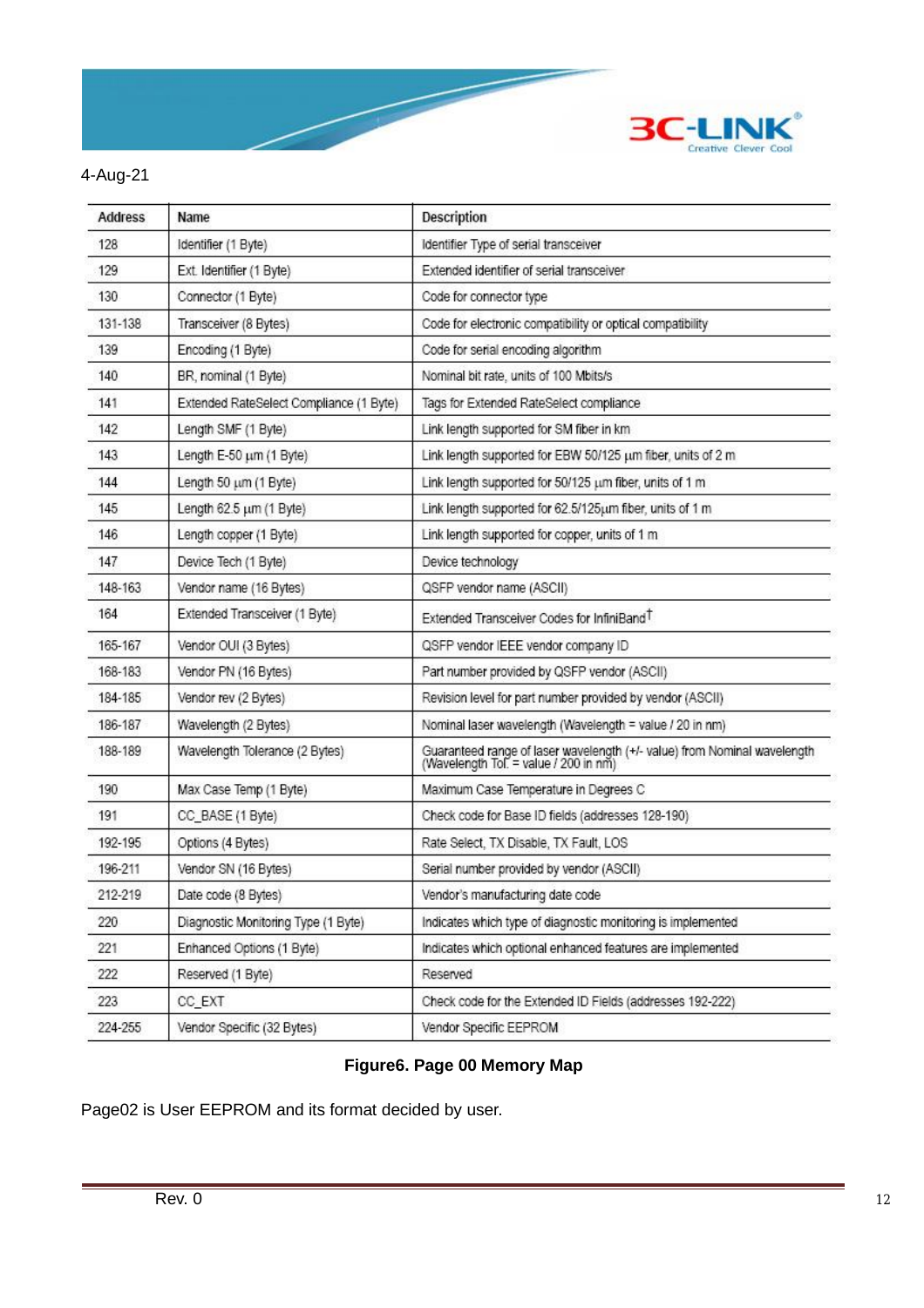

### 4-Aug-21

| <b>Address</b> | Name                                    | Description                                                                                                       |
|----------------|-----------------------------------------|-------------------------------------------------------------------------------------------------------------------|
| 128            | Identifier (1 Byte)                     | Identifier Type of serial transceiver                                                                             |
| 129            | Ext. Identifier (1 Byte)                | Extended identifier of serial transceiver                                                                         |
| 130            | Connector (1 Byte)                      | Code for connector type                                                                                           |
| 131-138        | Transceiver (8 Bytes)                   | Code for electronic compatibility or optical compatibility                                                        |
| 139            | Encoding (1 Byte)                       | Code for serial encoding algorithm                                                                                |
| 140            | BR, nominal (1 Byte)                    | Nominal bit rate, units of 100 Mbits/s                                                                            |
| 141            | Extended RateSelect Compliance (1 Byte) | Tags for Extended RateSelect compliance                                                                           |
| 142            | Length SMF (1 Byte)                     | Link length supported for SM fiber in km                                                                          |
| 143            | Length E-50 um (1 Byte)                 | Link length supported for EBW 50/125 um fiber, units of 2 m                                                       |
| 144            | Length 50 um (1 Byte)                   | Link length supported for 50/125 um fiber, units of 1 m                                                           |
| 145            | Length 62.5 um (1 Byte)                 | Link length supported for 62.5/125um fiber, units of 1 m                                                          |
| 146            | Length copper (1 Byte)                  | Link length supported for copper, units of 1 m                                                                    |
| 147            | Device Tech (1 Byte)                    | Device technology                                                                                                 |
| 148-163        | Vendor name (16 Bytes)                  | QSFP vendor name (ASCII)                                                                                          |
| 164            | Extended Transceiver (1 Byte)           | Extended Transceiver Codes for InfiniBand <sup>T</sup>                                                            |
| 165-167        | Vendor OUI (3 Bytes)                    | QSFP vendor IEEE vendor company ID                                                                                |
| 168-183        | Vendor PN (16 Bytes)                    | Part number provided by QSFP vendor (ASCII)                                                                       |
| 184-185        | Vendor rev (2 Bytes)                    | Revision level for part number provided by vendor (ASCII)                                                         |
| 186-187        | Wavelength (2 Bytes)                    | Nominal laser wavelength (Wavelength = value / 20 in nm)                                                          |
| 188-189        | Wavelength Tolerance (2 Bytes)          | Guaranteed range of laser wavelength (+/- value) from Nominal wavelength<br>(Wavelength Tol. = value / 200 in nm) |
| 190            | Max Case Temp (1 Byte)                  | Maximum Case Temperature in Degrees C                                                                             |
| 191            | CC_BASE (1 Byte)                        | Check code for Base ID fields (addresses 128-190)                                                                 |
| 192-195        | Options (4 Bytes)                       | Rate Select, TX Disable, TX Fault, LOS                                                                            |
| 196-211        | Vendor SN (16 Bytes)                    | Serial number provided by vendor (ASCII)                                                                          |
| 212-219        | Date code (8 Bytes)                     | Vendor's manufacturing date code                                                                                  |
| 220            | Diagnostic Monitoring Type (1 Byte)     | Indicates which type of diagnostic monitoring is implemented                                                      |
| 221            | Enhanced Options (1 Byte)               | Indicates which optional enhanced features are implemented                                                        |
| 222            | Reserved (1 Byte)                       | Reserved                                                                                                          |
| 223            | CC_EXT                                  | Check code for the Extended ID Fields (addresses 192-222)                                                         |
| 224-255        | Vendor Specific (32 Bytes)              | Vendor Specific EEPROM                                                                                            |

# **Figure6. Page 00 Memory Map**

Page02 is User EEPROM and its format decided by user.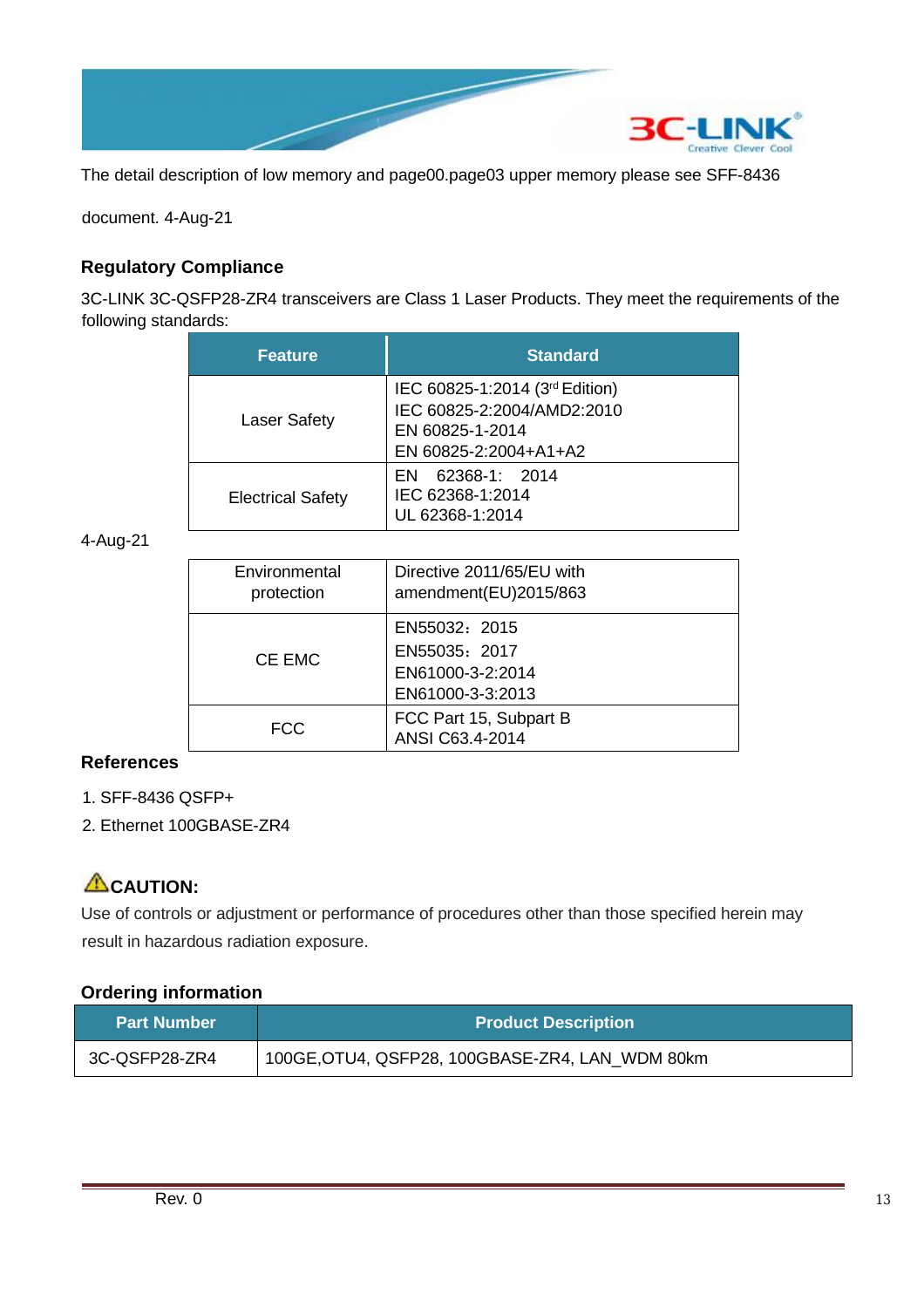

The detail description of low memory and page00.page03 upper memory please see SFF-8436

document. 4-Aug-21

### **Regulatory Compliance**

3C-LINK 3C-QSFP28-ZR4 transceivers are Class 1 Laser Products. They meet the requirements of the following standards:

| <b>Feature</b>           | <b>Standard</b>                                                                                          |
|--------------------------|----------------------------------------------------------------------------------------------------------|
| <b>Laser Safety</b>      | IEC 60825-1:2014 (3rd Edition)<br>IEC 60825-2:2004/AMD2:2010<br>EN 60825-1-2014<br>EN 60825-2:2004+A1+A2 |
| <b>Electrical Safety</b> | 62368-1: 2014<br>EN<br>IEC 62368-1:2014<br>UL 62368-1:2014                                               |

4-Aug-21

| Environmental<br>protection | Directive 2011/65/EU with<br>amendment(EU)2015/863                     |
|-----------------------------|------------------------------------------------------------------------|
| CE EMC                      | EN55032: 2015<br>EN55035: 2017<br>EN61000-3-2:2014<br>EN61000-3-3:2013 |
| <b>FCC</b>                  | FCC Part 15, Subpart B<br>ANSI C63.4-2014                              |

#### **References**

- 1. SFF-8436 QSFP+
- 2. Ethernet 100GBASE-ZR4

# **CAUTION:**

Use of controls or adjustment or performance of procedures other than those specified herein may result in hazardous radiation exposure.

#### **Ordering information**

| <b>Part Number</b> | <b>Product Description</b>                      |  |
|--------------------|-------------------------------------------------|--|
| 3C-QSFP28-ZR4      | 100GE, OTU4, QSFP28, 100GBASE-ZR4, LAN_WDM 80km |  |